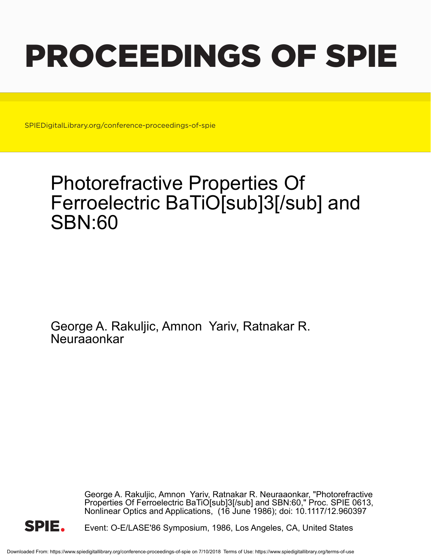# PROCEEDINGS OF SPIE

SPIEDigitalLibrary.org/conference-proceedings-of-spie

## Photorefractive Properties Of Ferroelectric BaTiO[sub]3[/sub] and SBN:60

George A. Rakuljic, Amnon Yariv, Ratnakar R. **Neuraaonkar** 

> George A. Rakuljic, Amnon Yariv, Ratnakar R. Neuraaonkar, "Photorefractive Properties Of Ferroelectric BaTiO[sub]3[/sub] and SBN:60," Proc. SPIE 0613, Nonlinear Optics and Applications, (16 June 1986); doi: 10.1117/12.960397



Event: O-E/LASE'86 Symposium, 1986, Los Angeles, CA, United States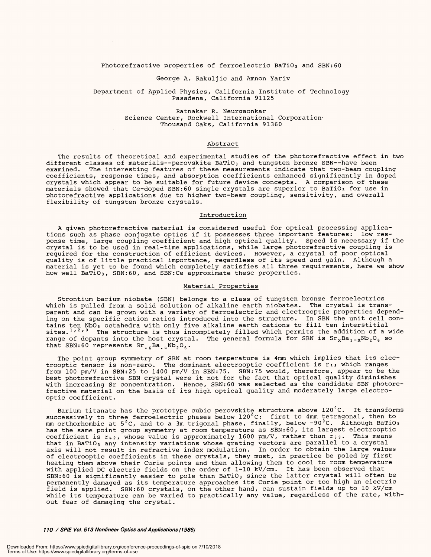Photorefractive properties of ferroelectric BaTiO<sub>3</sub> and SBN:60

#### George A. Rakuljic and Amnon Yariv George A. Rakuljic and Amnon Yariv

#### Department of Applied Physics, California Institute of Technology Department of Applied Physics, California Institute of Technology Pasadena, California 91125 Pasadena, California 91125

Ratnakar R. Neurgaonkar Ratnakar R. Neurgaonkar Science Center, Rockwell International Corporation. Science Center, Rockwell International Corporation-Thousand Oaks, California 91360 Thousand Oaks, California 91360

### Abstract Abstract

The results of theoretical and experimental studies of the photorefractive effect in two different classes of materials--perovskite BaTiO<sub>3</sub> and tungsten bronze SBN--have been examined. The interesting features of these measurements indicate that two -beam coupling examined. The interesting features of these measurements indicate that two-beam coupling coefficients, response times, and absorption coefficients enhanced significantly in doped coefficients, response times, and absorption coefficients enhanced significantly in doped crystals which appear to be suitable for future device concepts. A comparison of these crystals which appear to be suitable for future device concepts. <sup>A</sup>comparison of these materials showed that Ce-doped SBN:60 single crystals are superior to BaTiO<sub>3</sub> for use in photorefractive applications due to higher two -beam coupling, sensitivity, and overall photorefractive applications due to higher two-beam coupling, sensitivity, and overall flexibility of tungsten bronze crystals. flexibility of tungsten bronze crystals. The results of theoretical and experimental studies of the photorefractive effect in two different classes of materials--perovskite BaTiO<sub>3</sub> and tungsten bronze SBN--have been

#### Introduction Introduction

A given photorefractive material is considered useful for optical processing applica-A given photorefractive material is considered useful for optical processing applications such as phase conjugate optics if it possesses three important features: low response time, large coupling coefficient and high optical quality. Speed is necessary if the crystal is to be used in real -time applications, while large photorefractive coupling is crystal is to be used in real-time applications, while large photorefractive coupling is required for the construction of efficient devices. However, a crystal of poor optical required for the construction of efficient devices. However, a crystal of poor optical quality is of little practical importance, regardless of its speed and gain. Although a material is yet to be found which completely satisfies all three requirements, here we show how well BaTiO3, SBN:60, and SBN:Ce approximate these properties. how well BaTi0 3 , SEN:60, and SBN:Ce approximate these properties. tions such as phase conjugate optics if it possesses three important features: low response time, large coupling coefficient and high optical quality. Speed is necessary if the quality is of little practical importance, regardless of its speed and gain. Although <sup>a</sup> material is yet to be found which completely satisfies all three requirements, here we show

#### Material Properties Material Properties

Strontium barium niobate (SBN) belongs to a class of tungsten bronze ferroelectrics Strontium barium niobate (SEN) belongs to a class of tungsten bronze ferroelectrics which is pulled from a solid solution of alkaline earth niobates. The crystal is trans-which is pulled from a solid solution of alkaline earth niobates. The crystal is transparent and can be grown with a variety of ferroelectric and electrooptic properties depend-parent and can be grown with a variety of ferroelectric and electrooptic properties depending on the specific cation ratios introduced into the structure. In SBN the unit cell con-ing on the specific cation ratios introduced into the structure. In SEN the unit cell contains ten Nb06 octahedra with only five alkaline earth cations to fill ten interstitial sites.<sup>1,2,3</sup> The structure is thus incompletely filled which permits the addition of a wide range of dopants into the host crystal. The general formula for SBN is  $\texttt{Sr}_{\texttt{x}}\texttt{Ba}_{\texttt{1-x}}\texttt{Nb}_{\texttt{2}}\texttt{O}_6$  so that SBN:60 represents Sr<sub>.6</sub>Ba<sub>.4</sub>Nb<sub>2</sub>O<sub>6</sub>. tains ten NbO<sub>6</sub> octahedra with only five alkaline earth cations to fill ten interstitial sites.<sup>1,2,3</sup> The structure is thus incompletely filled which permits the addition of a wide

The point group symmetry of SBN at room temperature is 4mm which implies that its elec-The point group symmetry of SEN at room temperature is 4mm which implies that its electrooptic tensor is non-zero. The dominant electrooptic coefficient is  $r_{33}$  which ranges from 100 pm/V in SBN:25 to 1400 pm/V in SBN:75. SBN:75 would, therefore, appear to be the best photorefractive SBN crystal were it not for the fact that optical quality diminishes best photorefractive SEN crystal were it not for the fact that optical quality diminishes with increasing Sr concentration. Hence, SBN:60 was selected as the candidate SBN photore-with increasing Sr concentration. Hence, SEN:60 was selected as the candidate SEN photorefractive material on the basis of its high optical quality and moderately large electro-fractive material on the basis of its high optical quality and moderately large electrooptic coefficient. optic coefficient. trooptic tensor is non-zero. The dominant electrooptic coefficient is  $r_{\,3\,3}$  which ranges from 100 pm/V in SBN:25 to 1400 pm/V in SBN:75. SBN:75 would, therefore, appear to be the

Barium titanate has the prototype cubic perovskite structure above 120 °C. It transforms Barium titanate has the prototype cubic perovskite structure above 120°C. It transforms successively to three ferroelectric phases below 120 °C: first to 4mm tetragonal, then to successively to three ferroelectric phases below 120°C: first to 4mm tetragonal, then to mm orthorhombic at 5°C, and to a 3m trigonal phase, finally, below -90°C. Although BaTiO3 has the same point group symmetry at room temperature as SBN:60, its largest electrooptic has the same point group symmetry at room temperature as SEN:60, its largest electrooptic coefficient is  $r_{4,2}$ , whose value is approximately 1600 pm/V, rather than  $r_{3,3}$ . This means that in BaTiO $_3$  any intensity variations whose grating vectors are parallel to a crystal axis will not result in refractive index modulation. In order to obtain the large values of electrooptic coefficients in these crystals, they must, in practice be poled by first heating them above their Curie points and then allowing them to cool to room temperature heating them above their Curie points and then allowing them to cool to room temperature with applied DC electric fields on the order of 1-10 kV/cm. It has been observed that SBN:60 is significantly easier to pole than BaTiO $_3$  since the latter crystal will often be permanently damaged as its temperature approaches its Curie point or too high an electric field is applied. SBN:60 crystals, on the other hand, can sustain fields up to 10 kV/cm while its temperature can be varied to practically any value, regardless of the rate, with-while its temperature can be varied to practically any value, regardless of the rate, without fear of damaging the crystal. out fear of damaging the crystal. axis will not result in refractive index modulation. In order to obtain the large values of electrooptic coefficients in these crystals, they must, in practice be poled by first with applied DC electric fields on the order of 1-10 kV/cm. It has been observed that SEN:60 is significantly easier to pole than BaTi0 3 since the latter crystal will often be permanently damaged as its temperature approaches its Curie point or too high an electric

110 / SPIE Vol 613 Nonlinear Optics and Applications (1986) **/ 10 / SPIE Vol. 613 Nonlinear Optics and Applications (1986)**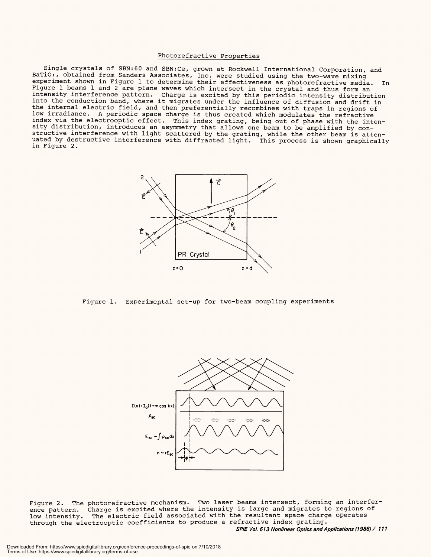#### Photorefractive Properties Photorefractive Properties

Single crystals of SBN:60 and SBN:Ce, grown at Rockwell International Corporation, and Single crystals of SEN:60 and SBN:Ce, grown at Rockwell International Corporation, and BaTiO<sub>3</sub>, obtained from Sanders Associates, Inc. were studied using the two-wave mixing experiment shown in Figure 1 to determine their effectiveness as photorefractive media. In experiment shown in Figure 1 to determine their effectiveness as photorefractive media. In Figure 1 beams 1 and 2 are plane waves which intersect in the crystal and thus form an<br>intensity interference pattern. Charge is excited by this periodic intensity distribution into the conduction band, where it migrates under the influence of diffusion and drift in into the conduction band, where it migrates under the influence of diffusion and drift in the internal electric field, and then preferentially recombines with traps in regions of the internal electric field, and then preferentially recombines with traps in regions of low irradiance. A periodic space charge is thus created which modulates the refractive low irradiance. A periodic space charge is thus created which modulates the refractive index via the electrooptic effect. This index grating, being out of phase with the inten-index via the electrooptic effect. This index grating, being out of phase with the intensity distribution, introduces an asymmetry that allows one beam to be amplified by con-<br>structive interference with light scattered by the grating, while the other beam is attenuated by destructive interference with diffracted light. This process is shown graphically uated by destructive interference with diffracted light. This process is shown graphically in Figure 2. in Figure 2. Figure 1 beams 1 and 2 are plane waves which intersect in the crystal and thus form an structive interference with light scattered by the grating, while the other beam is atten-



Figure 1. Experimental set -up for two -beam coupling experiments Figure 1. Experimental set-up for two-beam coupling experiments



Figure 2. The photorefractive mechanism. Two laser beams intersect, forming an interfer-Figure 2. The photorefractive mechanism. Two laser beams intersect, forming an interference pattern. Charge is excited where the intensity is large and migrates to regions of low intensity. The electric field associated with the resultant space charge operates through the electrooptic coefficients to produce a refractive index grating. through the electrooptic coefficients to produce a refractive index grating. SPIE Vol. 613 Nonlinear Optics and Applications (1986) / 111 **SPIE Vol. 613 Nonlinear Optics and Applications (1986) / <sup>111</sup>** ence pattern. Charge is excited where the intensity is large and migrates to regions of low intensity. The electric field associated with the resultant space charge operates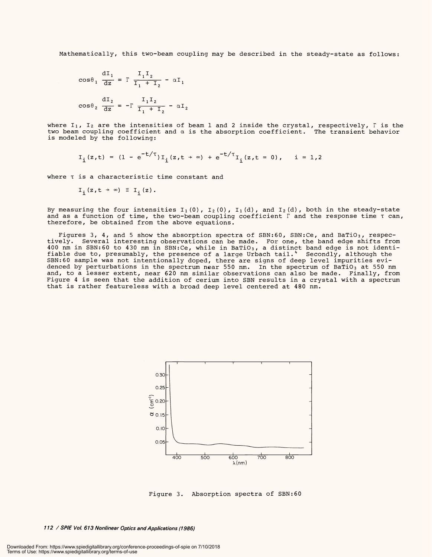Mathematically, this two-beam coupling may be described in the steady-state as follows:

$$
\cos\theta_1 \frac{dI_1}{dz} = \Gamma \frac{I_1 I_2}{I_1 + I_2} - \alpha I_1
$$

$$
\cos\theta_2 \frac{dI_2}{dz} = -\Gamma \frac{I_1 I_2}{I_1 + I_2} - \alpha I_2
$$

where I $_1$ , I $_2$  are the intensities of beam 1 and 2 inside the crystal, respectively,  $\Gamma$  is the two beam coupling coefficient and a is the absorption coefficient. The transient behavior two beam coupling coefficient and a is the absorption coefficient. The transient behavior is modeled by the following: is modeled by the following:

$$
I_{i}(z,t) = (1 - e^{-t/T}) I_{i}(z,t + \infty) + e^{-t/T} I_{i}(z,t = 0), \quad i = 1,2
$$

where T is a characteristic time constant and where T is a characteristic time constant and

$$
I_i(z,t + \infty) \equiv I_i(z).
$$

By measuring the four intensities I1(0), I2(0), I1(d), and I2(d), both in the steady-state and as a function of time, the two-beam coupling coefficient  $\Gamma$  and the response time  $\tau$  can, therefore, be obtained from the above equations. therefore, be obtained from the above equations.

Figures 3, 4, and 5 show the absorption spectra of SBN:60, SBN:Ce, and BaTiO3, respectively. Several interesting observations can be made. For one, the band edge shifts from 400 nm in SBN:60 to 430 nm in SBN:Ce, while in BaTiO3, a distinct band edge is not identifiable due to, presumably, the presence of a large Urbach tail." Secondly, although the SBN:60 sample was not intentionally doped, there are signs of deep level impurities evidenced by perturbations in the spectrum near 550 nm. In the spectrum of BaTiO<sub>3</sub> at 550 nm and, to a lesser extent, near 620 nm similar observations can also be made. Finally, from and, to a lesser extent, near 620 nm similar observations can also be made. Finally, from Figure 4 is seen that the addition of cerium into SBN results in a crystal with a spectrum Figure 4 is seen that the addition of cerium into SBN results in a crystal with a spectrum that is rather featureless with a broad deep level centered at 480 nm. that is rather featureless with a broad deep level centered at 480 nm. Figures 3, 4, and 5 show the absorption spectra of SEN: 60, SBN:Ce, and BaTiOs, respectively. Several interesting observations can be made. For one, the band edge shifts from 400 nm in SBN:60 to 430 nm in SBN:Ce, while in BaTiO<sub>3</sub>, a distinct band edge is not identifiable due to, presumably, the presence of a large Urbach tail. $^\ast$   $\,$  Secondly, although the  $\,$ SBN:60 sample was not intentionally doped, there are signs of deep level impurities evidenced by perturbations in the spectrum near 550 nm. In the spectrum of BaTiO $_3$  at 550 nm



Figure 3. Absorption spectra of SBN:60 Figure 3. Absorption spectra of SBN:60

112 / SPIE Vol. 613 Nonlinear Optics and Applications (1986) **/ 12 / SPIE Vol. 613 Nonlinear Optics and Applications (1986)**

Downloaded From: https://www.spiedigitallibrary.org/conference-proceedings-of-spie on 7/10/2018 Terms of Use: https://www.spiedigitallibrary.org/terms-of-use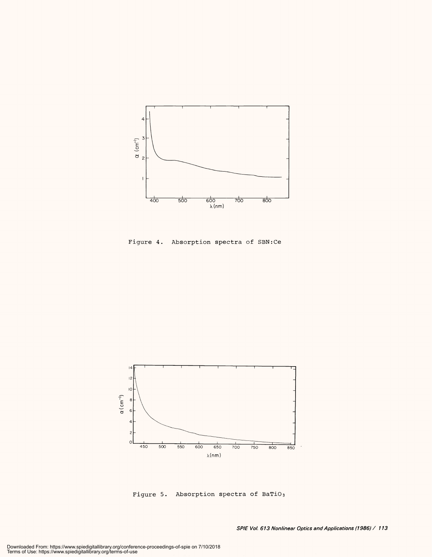

Figure 4. Absorption spectra of SBN:Ce Figure 4. Absorption spectra of SBN:Ce



Figure 5. Absorption spectra of BaTiO3 Figure 5. Absorption spectra of BaTiOs

SPIE Voi 613 Nonlinear Optics and Applications (1986) / 113 **SPIE Vol. 613 Nonlinear Optics and Applications (1986) / <sup>113</sup>**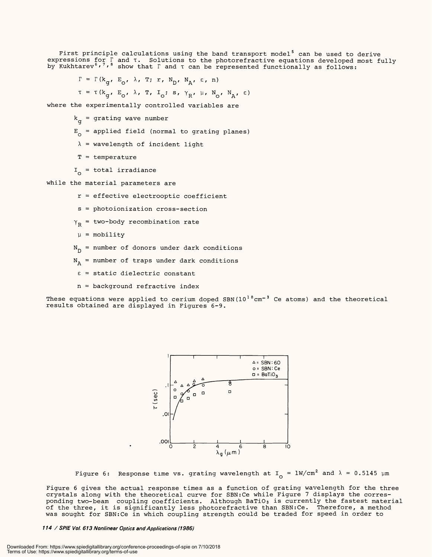First principle calculations using the band transport model' can be used to derive expressions for  $\mathbb F$  and  $\tau$ . Solutions to the photorefractive equations developed most fully by Kukhtarev $^{\circ}$ ,'," show that  $\Gamma$  and  $\tau$  can be represented functionally as follows: First principle calculations using the band transport model $^5$  can be used to derive expressions for  $\Gamma$  and  $\tau$ . Solutions to the photorefractive equations developed most fully by Kukhtarev  $\prime\prime$  '  $\prime\prime$  show that  $\Gamma$  and  $\tau$  can be represented functionally as follows:

 $\Gamma = \Gamma(k_{\alpha}, E_{\alpha}, \lambda, T; r, N_{\text{n}}, N_{\lambda}, \varepsilon, n)$ 

 $\tau = \tau(k_{\alpha}, E_{\alpha}, \lambda, T, I_{\alpha}; s, \gamma_{R}, \mu, N_{\alpha}, N_{R}, \epsilon)$ 

where the experimentally controlled variables are where the experimentally controlled variables are

 $k_{\alpha}$  = grating wave number

- $\mathbb{E}_{\substack{\sim}}$  = applied field (normal to grating planes)
- $\lambda$  = wavelength of incident light
- T = temperature T = temperature
- $I_{\overline{O}}$  = total irradiance

while the material parameters are while the material parameters are

- r = effective electrooptic coefficient <sup>r</sup>= effective electrooptic coefficient
- s = photoionization cross section <sup>s</sup>= photoionization cross-section
- $\gamma_{\rm R}^{\phantom{\dag}}$  = two-body recombination rate
- $\mu$  = mobility
- N<sub>n</sub> = number of donors under dark conditions
- $N_a$  = number of traps under dark conditions
- $\varepsilon$  = static dielectric constant
- n = background refractive index <sup>n</sup>= background refractive index

These equations were applied to cerium doped SBN( $10^{\,1\,8}\rm\,cm^{-3}$  Ce atoms) and the theoretical results obtained are displayed in Figures 6 -9. results obtained are displayed in Figures 6-9.



Figure 6: Response time vs. grating wavelength at I<sub>O</sub> =  $1$ W/cm<sup>2</sup> and  $\lambda$  = 0.5145 µm

Figure 6 gives the actual response times as a function of grating wavelength for the three crystals along with the theoretical curve for SBN:Ce while Figure 7 displays the corresponding two-beam coupling coefficients. Although BaTiO3 is currently the fastest material of the three, it is significantly less photorefractive than SBN:Ce. Therefore, a method was sought for SBN:Ce in which coupling strength could be traded for speed in order to was sought for SBN:Ce in which coupling strength could be traded for speed in order to Figure 6 gives the actual response times as a function of grating wavelength for the three crystals along with the theoretical curve for SBN:Ce while Figure 7 displays the corresponding two-beam coupling coefficients. Although BaTiO<sub>3</sub> is currently the fastest material of the three, it is significantly less photorefractive than SBN:Ce. Therefore, a method

114 / SPIE Vol 613 Nonlinear Optics and Applications (1986) **114 / SPIE Vol. 613 Nonlinear Optics and Applications (1986)**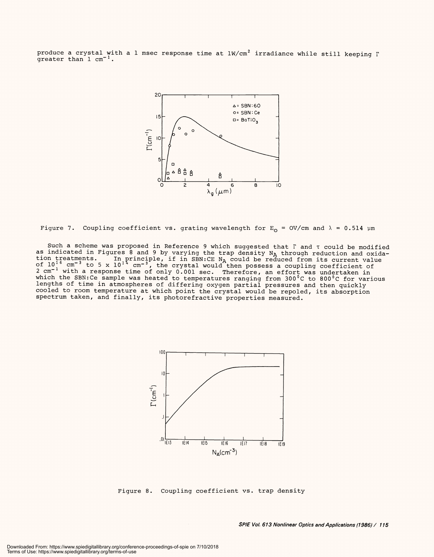produce a crystal with a 1 msec response time at lW/cm $^2$  irradiance while still keeping  $\Gamma$ produce a crystal with a l msec response time at lW/cm<sup>2</sup> irradiance while still keeping  $\Gamma$ <br>greater than 1 cm<sup>-1</sup>.



```
Figure 7.  Coupling coefficient vs. grating wavelength for \texttt{E}_{\mathsf{O}} = OV/cm and \lambda = 0.514 \mum
```
Such a scheme was proposed in Reference 9 which suggested that Γ and τ could be modified<br>as indicated in Figures 8 and 9 by varying the trap density N<sub>A</sub> through reduction and oxidation treatments. In principle, if in SBN:CE N<sub>A</sub> could be reduced from its current value of  $10^{16}$  cm<sup>-3</sup> to 5 x  $10^{14}$  cm<sup>-3</sup>, the crystal would then possess a coupling coefficient of 2 cm-1 with a response time of only 0.001 sec. Therefore, an effort was undertaken in which the SBN:Ce sample was heated to temperatures ranging from 300°C to 800°C for various lengths of time in atmospheres of differing oxygen partial pressures and then quickly cooled to room temperature at which point the crystal would be repoled, its absorption spectrum taken, and finally, its photorefractive properties measured. Such a scheme was proposed in Reference 9 which suggested that  $\Gamma$  and  $\tau$  could be modified<br>as indicated in Figures 8 and 9 by varying the trap density  $N_A$  through reduction and oxida-<br>tion treatments. In principle, i



Figure 8. Coupling coefficient vs. trap density Figure 8. Coupling coefficient vs. trap density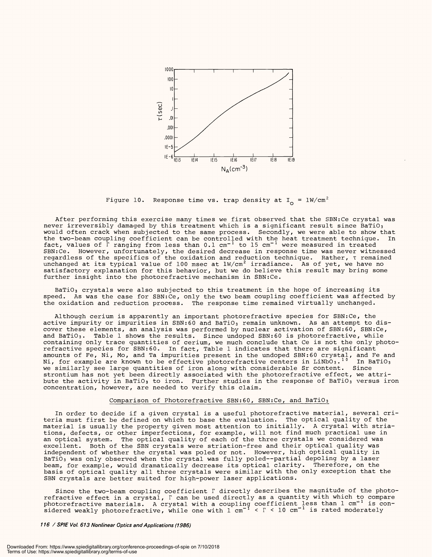

Figure 10. Response time vs. trap density at I<sub>o</sub> =  $1$ W/cm $^2$ 

After performing this exercise many times we first observed that the SBN:Ce crystal was After performing this exercise many times we first observed that the SBN:Ce crystal was never irreversibly damaged by this treatment which is a significant result since BaTiO3 would often crack when subjected to the same process. Secondly, we were able to show that would often crack when subjected to the same process. Secondly, we were able to show that the two-beam coupling coefficient can be controlled with the heat treatment technique. In<br>fact, values of 『 ranging from less than 0.1 cm<sup>-1</sup> to 15 cm<sup>-1</sup> were measured in treated SBN:Ce. However, unfortunately, the desired decrease in response time was never witnessed SBN:Ce. However, unfortunately, the desired decrease in response time was never witnessed regardless of the specifics of the oxidation and reduction technique. Rather, T remained regardless of the specifics of the oxidation and reduction technique. Rather, T remained unchanged at its typical value of 100 msec at lW/cm $^2$  irradiance. As of yet, we have no satisfactory explanation for this behavior, but we do believe this result may bring some satisfactory explanation for this behavior, but we do believe this result may bring some further insight into the photorefractive mechanism in SBN:Ce. further insight into the photorefractive mechanism in SBN:Ce. fact, values of  $\Gamma$  ranging from less than 0.1 cm $^{-1}$  to 15 cm $^{-1}$  were measured in treated

BaTiO3 crystals were also subjected to this treatment in the hope of increasing its BaTiOs crystals were also subjected to this treatment in the hope of increasing its speed. As was the case for SBN:Ce, only the two beam coupling coefficient was affected by speed. As was the case for SBN:Ce, only the two beam coupling coefficient was affected by the oxidation and reduction process. The response time remained virtually unchanged. the oxidation and reduction process. The response time remained virtually unchanged.

Although cerium is apparently an important photorefractive species for SBN:Ce, the Although cerium is apparently an important photorefractive species for SBNrCe, the active impurity or impurities in SBN:60 and BaTiO $_3$  remain unknown. As an attempt to discover these elements, an analysis was performed by nuclear activation of SBN:60, SBN:Ce, cover these elements, an analysis was performed by nuclear activation of SEN:60, SBN:Ce, and BaTiO3. Table 1 shows the results. Since undoped SBN:60 is photorefractive, while and BaTiOs- Table 1 shows the results. Since undoped SEN:60 is photorefractive, while containing only trace quantities of cerium, we much conclude that Ce is not the only photorefractive species for SBN:60. In fact, Table 1 indicates that there are significant refractive species for SEN:60. In fact, Table 1 indicates that there are significant amounts of Fe, Ni, Mo, and Ta impurities present in the undoped SBN:60 crystal, and Fe and Ni, for example are known to be effective photorefractive centers in LiNbO $_3$ .' $^{\circ}$  In BaTiO $_3$ we similarly see large quantities of iron along with considerable Sr content. Since we similarly see large quantities of iron along with considerable Sr content. Since strontium has not yet been directly associated with the photorefractive effect, we attri-strontium has not yet been directly associated with the photorefractive effect, we attribute the activity in BaTiO $_3$  to iron. Further studies in the response of BaTiO $_3$  versus iron concentration, however, are needed to verify this claim. concentration, however, are needed to verify this claim. amounts of Fe, Ni, Mo, and Ta impurities present in the undoped SEN:60 crystal, and Fe and Ni, for example are known to be effective photorefractive centers in LiNbO $_3\centerdot$   $^{\prime}$   $\,$  In BaTiO $_3$ 

#### Comparison of Photorefractive SBN:60, SBN:Ce, and BaTiO3

In order to decide if a given crystal is a useful photorefractive material, several cri-In order to decide if a given crystal is a useful photorefractive material, several criteria must first be defined on which to base the evaluation. The optical quality of the teria must first be defined on which to base the evaluation. The optical quality of the material is usually the property given most attention to initially. A crystal with stria-material is usually the property given most attention to initially. A crystal with striations, defects, or other imperfections, for example, will not find much practical use in tions, defects, or other imperfections, for example, will not find much practical use in an optical system. The optical quality of each of the three crystals we considered was an optical system. The optical quality of each of the three crystals we considered was excellent. Both of the SBN crystals were striation -free and their optical quality was excellent. Both of the SEN crystals were striation-free and their optical quality was independent of whether the crystal was poled or not. However, high optical quality in independent of whether the crystal was poled or not. However, high optical quality in BaTiO3 was only observed when the crystal was fully poled -- partial depoling by a laser BaTiOs was only observed when the crystal was fully poled partial depoling by a laser beam, for example, would dramatically decrease its optical clarity. Therefore, on the beam, for example, would dramatically decrease its optical clarity. Therefore, on the basis of optical quality all three crystals were similar with the only exception that the basis of optical quality all three crystals were similar with the only exception that the SBN crystals are better suited for high -power laser applications. SEN crystals are better suited for high-power laser applications.

Since the two -beam coupling coefficient r directly describes the magnitude of the photo - Since the two-beam coupling coefficient T directly describes the magnitude of the photorefractive effect in a crystal, r can be used directly as a quantity with which to compare photorefractive materials. A crystal with a coupling coefficient less than  $1$  cm $^{-1}$  is considered weakly photorefractive, while one with  $1\,$  cm $^{-1}\,$  <  $\Gamma$  <  $10\,$  cm $^{-1}\,$  is rated moderately refractive effect in a crystal, T can be used directly as <sup>a</sup>quantity with which to compare photorefractive materials. A crystal with a coupling coefficient less than l cm<sup>-1</sup> is con-<br>sidered weakly photorefractive, while one with 1 cm<sup>-1</sup> < T < 10 cm<sup>-1</sup> is rated moderately

116 / SPIE Vol 613 Nonlinear Optics and Applications (1986) **/ 16 / SPIE Vol. 613 Nonlinear Optics and Applications (1986)**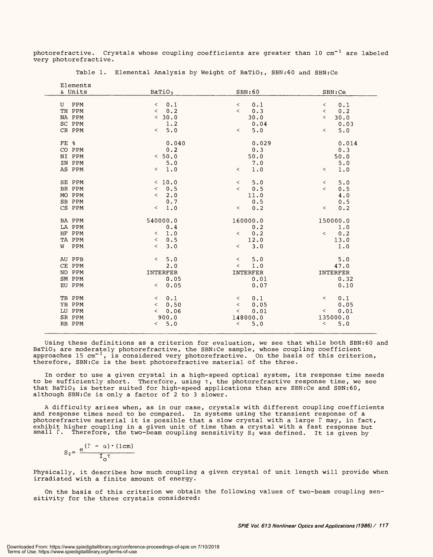photorefractive. Crystals whose coupling coefficients are greater than 10 cm<sup>-1</sup> are labeled very photorefractive. very photorefractive.

| Elements |                                  |                                 |                                 |
|----------|----------------------------------|---------------------------------|---------------------------------|
| & Units  | Bario <sub>3</sub>               | SBN:60                          | SBN:Ce                          |
| PPM<br>U | 0.1<br>$\overline{\phantom{0}}$  | 0.1<br>$\overline{\phantom{0}}$ | 0.1<br>$\,<\,$                  |
| TH PPM   | 0.2<br>$\overline{\phantom{a}}$  | 0.3<br>$\overline{\phantom{0}}$ | 0.2<br>$\overline{\phantom{a}}$ |
| NA PPM   | < 30.0                           | 30.0                            | 30.0<br>$\,<\,$                 |
| SC PPM   | 1.2                              | 0.04                            | 0.03                            |
| CR PPM   | 5.0<br>$\overline{\phantom{0}}$  | 5.0<br>$\lt$                    | 5.0<br>$\overline{\phantom{0}}$ |
|          |                                  |                                 |                                 |
| FE %     | 0.040                            | 0.029                           | 0.014                           |
| CO PPM   | 0.2                              | 0.3                             | 0.3                             |
| NI PPM   | < 50.0                           | 50.0                            | 50.0                            |
| ZN PPM   | $5.0$                            | 7.0                             | 5.0                             |
| AS PPM   | 1.0<br>$\lt$                     | 1.0<br>$\lt$                    | 1.0<br>$\,<\,$                  |
|          |                                  |                                 |                                 |
| SE PPM   | < 10.0                           | 5.0<br>$\overline{\phantom{a}}$ | 5.0<br>$\,<\,$                  |
| BR PPM   | 0.5<br>$\lt$                     | 0.5<br>$\overline{\phantom{0}}$ | 0.5<br>$\overline{\phantom{0}}$ |
| MO PPM   | 2.0<br>$\overline{\phantom{0}}$  | 11.0                            | 4.0                             |
| SB PPM   | 0.7                              | 0.5                             | 0.5                             |
| CS PPM   | 1.0<br>$\overline{\phantom{0}}$  | 0.2<br>$\prec$                  | 0.2<br>$\prec$                  |
| BA PPM   | 540000.0                         | 160000.0                        | 150000.0                        |
| LA PPM   | 0.4                              | 0.2                             | 1.0                             |
| HF PPM   | 1.0<br>$\overline{\phantom{0}}$  | 0.2<br>$\lt$                    | 0.2<br>$\lt$                    |
| TA PPM   | $\prec$<br>0.5                   | 12.0                            | 13.0                            |
| PPM<br>W | $\overline{\phantom{a}}$<br>3.0  | 3.0<br>$\overline{\phantom{0}}$ | 1.0                             |
|          |                                  |                                 |                                 |
| AU PPB   | 5.0<br>$\overline{\phantom{0}}$  | 5.0<br>$\overline{\phantom{0}}$ | 5.0                             |
| CE PPM   | 2.0                              | 1.0<br>$\,<\,$                  | 47.0                            |
| ND PPM   | INTERFER                         | INTERFER                        | INTERFER                        |
| SM PPM   | 0.05                             | 0.01                            | 0.32                            |
| EU PPM   | 0.05<br>$\lt$                    | 0.07                            | 0.10                            |
| TB PPM   | 0.1<br>$\,<\,$                   | 0.1<br>$\lt$                    | 0.1<br>$\lt$                    |
| YB PPM   | 0.50<br>$\overline{\phantom{a}}$ | 0.05<br>$\,<\,$                 | 0.05                            |
| LU PPM   | 0.06<br>$\lt$                    | 0.01<br>$\,<$                   | 0.01<br>$\lt$                   |
| SR PPM   | 900.0                            | 148000.0                        | 135000.0                        |
| RB PPM   | 5.0<br>$\lt$                     | 5.0<br>$\,<\,$                  | 5.0<br>$\,<\,$                  |
|          |                                  |                                 |                                 |
|          |                                  |                                 |                                 |

Table 1. Elemental Analysis by Weight of BaTiO3, SBN:60 and SBN:Ce Table 1. Elemental Analysis by Weight of BaTiOs, SBN:60 and SBNrCe

Using these definitions as a criterion for evaluation, we see that while both SBN:60 and BaTiO3 are moderately photorefractive, the SBN:Ce sample, whose coupling coefficient approaches 15  $\mathrm{cm}^{-1}$ , is considered very photorefractive. On the basis of this criterion, therefore, SBN:Ce is the best photorefractive material of the three. therefore, SBNrCe is the best photorefractive material of the three. Using these definitions as a criterion for evaluation, we see that while both SENr60 and BaTiO $_3$  are moderately photorefractive, the SBN:Ce sample, whose coupling coefficient approaches 15 cm $^{-1}$ , is considered very photorefractive. On the basis of this criterion,

In order to use a given crystal in a high -speed optical system, its response time needs In order to use a given crystal in a high-speed optical system, its response time needs to be sufficiently short. Therefore, using  $\tau$ , the photorefractive response time, we see that BaTiO $_3$  is better suited for high-speed applications than are SBN:Ce and SBN:60, although SBN:Ce is only a factor of 2 to 3 slower. although SBNrCe is only a factor of 2 to 3 slower.

A difficulty arises when, as in our case, crystals with different coupling coefficients <sup>A</sup>difficulty arises when, as in our case, crystals with different coupling coefficients and response times need to be compared. In systems using the transient response of a and response times need to be compared. In systems using the transient response of <sup>a</sup> photorefractive material it is possible that a slow crystal with a large  $\Gamma$  may, in fact, exhibit higher coupling in a given unit of time than a crystal with a fast response but<br>small F. Therefore, the two-beam coupling sensitivity S<sub>2</sub> was defined. It is given by <code>small F. Therefore, the two-beam coupling sensitivity S $_2$  was defined. It is given by</code>

$$
S_2 = \frac{e^{(\Gamma - \alpha) \cdot (1 \text{ cm})}}{I_0^{\tau}}
$$

Physically, it describes how much coupling a given crystal of unit length will provide when Physically, it describes how much coupling a given crystal of unit length will provide when irradiated with a finite amount of energy. irradiated with a finite amount of energy.

On the basis of this criterion we obtain the following values of two -beam coupling sen-On the basis of this criterion we obtain the following values of two-beam coupling sensitivity for the three crystals considered: sitivity for the three crystals consideredr